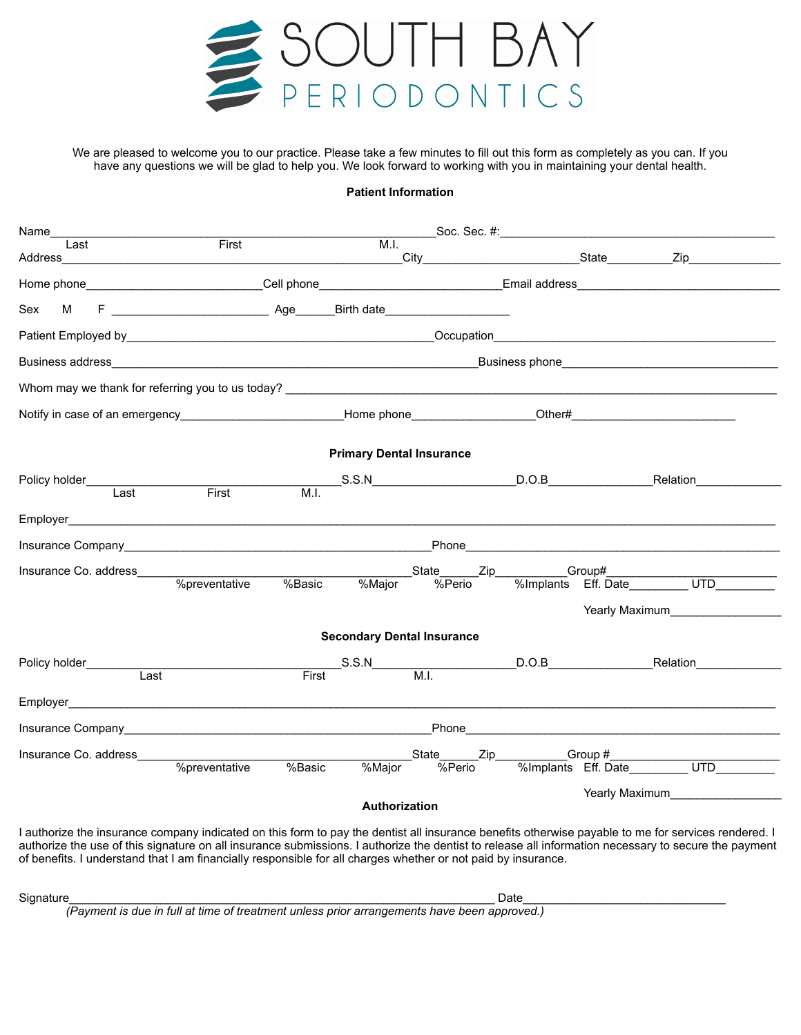

We are pleased to welcome you to our practice. Please take a few minutes to fill out this form as completely as you can. If you have any questions we will be glad to help you. We look forward to working with you in maintaining your dental health.

## **Patient Information**

| Name__                                                                                                                                                                                                                                                                                                      |               |                                   |  |  |                                    |
|-------------------------------------------------------------------------------------------------------------------------------------------------------------------------------------------------------------------------------------------------------------------------------------------------------------|---------------|-----------------------------------|--|--|------------------------------------|
| Last                                                                                                                                                                                                                                                                                                        | First         |                                   |  |  |                                    |
|                                                                                                                                                                                                                                                                                                             |               |                                   |  |  |                                    |
| Sex<br>М                                                                                                                                                                                                                                                                                                    |               |                                   |  |  |                                    |
|                                                                                                                                                                                                                                                                                                             |               |                                   |  |  |                                    |
|                                                                                                                                                                                                                                                                                                             |               |                                   |  |  |                                    |
|                                                                                                                                                                                                                                                                                                             |               |                                   |  |  |                                    |
|                                                                                                                                                                                                                                                                                                             |               |                                   |  |  |                                    |
|                                                                                                                                                                                                                                                                                                             |               | <b>Primary Dental Insurance</b>   |  |  |                                    |
|                                                                                                                                                                                                                                                                                                             |               |                                   |  |  |                                    |
| Policy holder______________<br>Last                                                                                                                                                                                                                                                                         | First         | M.I.                              |  |  |                                    |
|                                                                                                                                                                                                                                                                                                             |               |                                   |  |  |                                    |
| Insurance Company <b>Example 2018</b> The Company of the Company of the Company of the Company of the Company of the Company of the Company of the Company of the Company of the Company of the Company of the Company of the Compa                                                                         |               |                                   |  |  |                                    |
|                                                                                                                                                                                                                                                                                                             |               |                                   |  |  |                                    |
|                                                                                                                                                                                                                                                                                                             |               |                                   |  |  | Yearly Maximum <b>Example 2018</b> |
|                                                                                                                                                                                                                                                                                                             |               | <b>Secondary Dental Insurance</b> |  |  |                                    |
|                                                                                                                                                                                                                                                                                                             |               |                                   |  |  |                                    |
| Last                                                                                                                                                                                                                                                                                                        |               | First                             |  |  |                                    |
|                                                                                                                                                                                                                                                                                                             |               |                                   |  |  |                                    |
|                                                                                                                                                                                                                                                                                                             |               |                                   |  |  |                                    |
| Insurance Co. address_____                                                                                                                                                                                                                                                                                  |               |                                   |  |  |                                    |
|                                                                                                                                                                                                                                                                                                             | %preventative | %Basic                            |  |  |                                    |
|                                                                                                                                                                                                                                                                                                             |               | Authorization                     |  |  |                                    |
| I authorize the insurance company indicated on this form to pay the dentist all insurance benefits otherwise payable to me for services rendered. I<br>authorize the use of this signature on all insurance submissions. I authorize the dentist to release all information necessary to secure the payment |               |                                   |  |  |                                    |

authorize the use of this signature on all insurance submissions. I authorize the dentist to release all information necessary to secure the payment of benefits. I understand that I am financially responsible for all charges whether or not paid by insurance.

 $\mathsf{Signature\_}\square$ 

*(Payment is due in full at time of treatment unless prior arrangements have been approved.)*